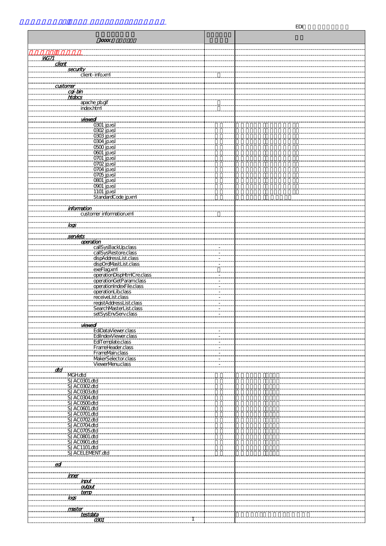| <b>EDI</b>                                                                         |                  |  |  |
|------------------------------------------------------------------------------------|------------------|--|--|
|                                                                                    |                  |  |  |
| XXXX:                                                                              |                  |  |  |
|                                                                                    |                  |  |  |
|                                                                                    |                  |  |  |
| <b>WG71</b><br>Client                                                              |                  |  |  |
| security                                                                           |                  |  |  |
| client-info.xml                                                                    |                  |  |  |
| <u>customer</u>                                                                    |                  |  |  |
| $\alpha$ -bin                                                                      |                  |  |  |
| htobcs                                                                             |                  |  |  |
| apache po.gif<br>.index.html                                                       |                  |  |  |
|                                                                                    |                  |  |  |
| viewed                                                                             |                  |  |  |
| 0301 jp.xsl                                                                        |                  |  |  |
| 0302 jp.xsl<br>0303 jp.xsl                                                         |                  |  |  |
| 0304 jp.xsl                                                                        |                  |  |  |
| <b>OGOO jp.xsl</b>                                                                 |                  |  |  |
| 0601 jp.xsl                                                                        |                  |  |  |
| 0701 jp.xsl<br>0702 jp.xsl                                                         |                  |  |  |
| 0704 jp.xsl                                                                        |                  |  |  |
| 0705 jp.xsl                                                                        |                  |  |  |
| <b>OBOT jp.xsl</b>                                                                 |                  |  |  |
| 0901 jp.xsl                                                                        |                  |  |  |
| 1101 jp.xsl<br>StandardCode_jp.xml                                                 |                  |  |  |
|                                                                                    |                  |  |  |
| <u>information</u><br>customer information.xml                                     |                  |  |  |
|                                                                                    |                  |  |  |
| <u>ioos</u>                                                                        |                  |  |  |
|                                                                                    |                  |  |  |
| <u>servlets</u><br><i><b>operation</b></i>                                         |                  |  |  |
| callSysBackUp.class                                                                |                  |  |  |
| CallSysRestore.class<br>dspAddressList.class<br>dspOrdWastList.class<br>exeFlag.xm |                  |  |  |
|                                                                                    |                  |  |  |
|                                                                                    |                  |  |  |
| operationDispHtmlCre.class                                                         |                  |  |  |
| operationGetParamclass                                                             |                  |  |  |
| operationIndexFile.class<br>operationLib.class                                     |                  |  |  |
| receiveList.class                                                                  |                  |  |  |
| registAddressList.class<br>SearchMasterList.class                                  |                  |  |  |
|                                                                                    |                  |  |  |
| setSysEnvServ.class                                                                |                  |  |  |
| <u>viewedi</u>                                                                     |                  |  |  |
| EdiDataViewer.class                                                                |                  |  |  |
| EdilndexViewer.class<br>EdiTemplate.class                                          |                  |  |  |
| FrameHeader.class                                                                  |                  |  |  |
| FrameMain.class                                                                    | <del>.</del>     |  |  |
| MakerSelector.class                                                                | . <del>. .</del> |  |  |
| <b>ViewerMenuclass</b><br>ata                                                      | <del>.</del>     |  |  |
| MGH.dtd                                                                            |                  |  |  |
| SJAC0301.dtd                                                                       |                  |  |  |
| SJAC0302dtd<br>SJAC0303.dtd                                                        |                  |  |  |
| SJAC0304dtd                                                                        |                  |  |  |
| SJACO500dtd                                                                        |                  |  |  |
| SJACO601.dtd<br>SJAC0701.dtd                                                       |                  |  |  |
| SJAC0702dtd                                                                        |                  |  |  |
| SJAC0704.dtd                                                                       |                  |  |  |
| SJAC0705.dtd                                                                       |                  |  |  |
| SJACO801.dtd<br>SJACO901.dtd                                                       |                  |  |  |
| SJAC1101.dtd                                                                       |                  |  |  |
| SJACELEMENT.dtd                                                                    |                  |  |  |
|                                                                                    |                  |  |  |
| <u>ed</u>                                                                          |                  |  |  |
| ,,,,,,,,,,,<br><u>ımer</u>                                                         |                  |  |  |
| <b>input</b>                                                                       |                  |  |  |
| <b>output</b><br><u>temp</u>                                                       |                  |  |  |
| mana<br>$\overline{\textit{log}}$                                                  |                  |  |  |
|                                                                                    |                  |  |  |
| master                                                                             |                  |  |  |
| <u>restolata</u><br>ന്മ്പ                                                          |                  |  |  |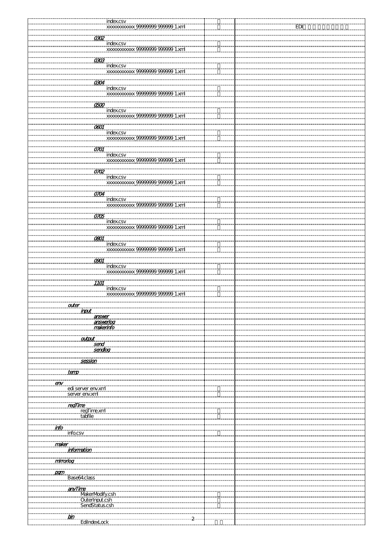| Index.csv<br>xxxxxxxxxxxxx 99999999 999999_1 xml |       |
|--------------------------------------------------|-------|
|                                                  | edi ( |
|                                                  |       |
| $\overline{\alpha}$                              |       |
|                                                  |       |
| index.csv<br>xxxxxxxxxxxx 9999999 99999 1.xml    |       |
|                                                  |       |
|                                                  |       |
| $\overline{\textbf{a}\textbf{a}}$                |       |
|                                                  |       |
|                                                  |       |
|                                                  |       |
|                                                  |       |
| $\overline{a}$                                   |       |
|                                                  |       |
| index.csv<br>xxxxxxxxxxx 99999999 999999_1.xml   |       |
|                                                  |       |
| $\overline{cop}$                                 |       |
| www.csv<br>http://www.csv<br>http://www.csv.com/ |       |
|                                                  |       |
| .xml                                             |       |
|                                                  |       |
| $\overline{\alpha}$                              |       |
|                                                  |       |
| index.csv                                        |       |
| XXXXXXXXXXX 9999<br>9 999999 1.xml               |       |
|                                                  |       |
| $\overline{on}$                                  |       |
| ,,,,,,,,,,,,,,,,,,                               |       |
| index.csv<br>xxxxxxxxxxxx                        |       |
|                                                  |       |
|                                                  |       |
| $\overline{O}/\overline{O}$                      |       |
|                                                  |       |
|                                                  |       |
|                                                  |       |
|                                                  |       |
| $\overline{O}$ <i>O</i> $\overline{O}$           |       |
| index.csv                                        |       |
| 222222222345<br><b>xxxxxxxxxxxx</b>              |       |
|                                                  |       |
|                                                  |       |
| $\overline{OB}$                                  |       |
| <i>index.csv</i>                                 |       |
| xxxxxxxxxx 9999999 999999 1xml                   |       |
|                                                  |       |
| $\overline{con}$                                 |       |
|                                                  |       |
| index.csv<br>xxxxxxxxxxxxx 999                   |       |
| <del>99999_999999_1</del> .xml                   |       |
|                                                  |       |
| <u>0901</u>                                      |       |
|                                                  |       |
|                                                  |       |
| 999_999999_1.xml                                 |       |
|                                                  |       |
| 1101                                             |       |
| <i>index.csv</i>                                 |       |
| xxxxxxxxxxxx 999<br>9 999999 1.xml               |       |
|                                                  |       |
|                                                  |       |
| auter                                            |       |
| <u>input</u>                                     |       |
| answer                                           |       |
|                                                  |       |
| answerlog<br>makerinfo                           |       |
|                                                  |       |
|                                                  |       |
| <u>output</u><br>send                            |       |
|                                                  |       |
| sendiog                                          |       |
|                                                  |       |
| nomongomon                                       |       |
| <u>session</u>                                   |       |
|                                                  |       |
| <u>temp</u>                                      |       |
|                                                  |       |
| <u>env</u>                                       |       |
| edi server env.xml                               |       |
|                                                  |       |
| server env.xml                                   |       |
|                                                  |       |
|                                                  |       |
| <b>regTime</b><br>regTime.xm                     |       |
| tabfile                                          |       |
|                                                  |       |
| <u>info</u>                                      |       |
| .                                                |       |
| info.csv                                         |       |
|                                                  |       |
| maker                                            |       |
| <b>information</b>                               |       |
|                                                  |       |
|                                                  |       |
| <u>mirroniog</u>                                 |       |
|                                                  |       |
| <u>pam</u>                                       |       |
| Base64 class                                     |       |
|                                                  |       |
|                                                  |       |
| anyTime                                          |       |
| MakerModify.csh                                  |       |
| OuterInput.csh                                   |       |
| SendStatus.csh                                   |       |
|                                                  |       |
|                                                  |       |
| bin<br>$\mathbf{2}$                              |       |
| EdilndexLock                                     |       |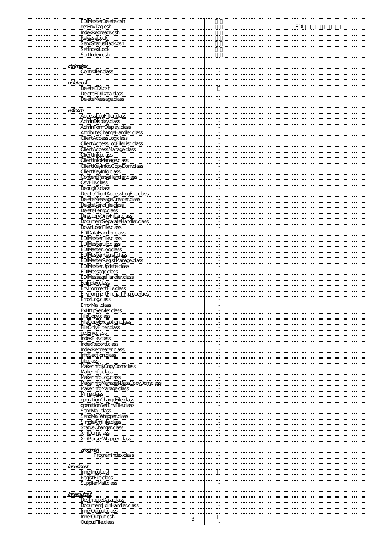| <u>EDI</u><br>getEnvTagcsh<br>IndexRecreate.csh<br>ReleaseLock<br>SendStatusBack.csh<br>SetIndexLock<br>SortIndex.csh<br>ctrimaker<br>Controller.class<br>deleteed<br>DeleteEDI.csh<br>DeleteEDIData.class<br>DeleteMessage.class<br>edicam<br>"<br>AccessLogFilter.class<br>AdminDisplay.class<br>AdminFormDisplay.class<br>AttributeChangeHandler.class<br><b>ClientAccessLogclass</b><br>ClientAccessLogFileList.class<br>ClientAccessManage.class<br>ClientInfo.class<br>ClientInfolVanage.class<br>ClientKeyInfo\$CopyDomclass<br><b>ClientKeyInfo.class</b><br>ContentParseHandler.class<br>CsvFile.class<br>DebuglO.class<br>DeleteClientAccessLogFile.class<br>DeleteMessageCreater.class<br>DeleteSendFile.class<br>DeleteTemp.class |  |
|-----------------------------------------------------------------------------------------------------------------------------------------------------------------------------------------------------------------------------------------------------------------------------------------------------------------------------------------------------------------------------------------------------------------------------------------------------------------------------------------------------------------------------------------------------------------------------------------------------------------------------------------------------------------------------------------------------------------------------------------------|--|
|                                                                                                                                                                                                                                                                                                                                                                                                                                                                                                                                                                                                                                                                                                                                               |  |
|                                                                                                                                                                                                                                                                                                                                                                                                                                                                                                                                                                                                                                                                                                                                               |  |
|                                                                                                                                                                                                                                                                                                                                                                                                                                                                                                                                                                                                                                                                                                                                               |  |
|                                                                                                                                                                                                                                                                                                                                                                                                                                                                                                                                                                                                                                                                                                                                               |  |
|                                                                                                                                                                                                                                                                                                                                                                                                                                                                                                                                                                                                                                                                                                                                               |  |
|                                                                                                                                                                                                                                                                                                                                                                                                                                                                                                                                                                                                                                                                                                                                               |  |
|                                                                                                                                                                                                                                                                                                                                                                                                                                                                                                                                                                                                                                                                                                                                               |  |
|                                                                                                                                                                                                                                                                                                                                                                                                                                                                                                                                                                                                                                                                                                                                               |  |
|                                                                                                                                                                                                                                                                                                                                                                                                                                                                                                                                                                                                                                                                                                                                               |  |
|                                                                                                                                                                                                                                                                                                                                                                                                                                                                                                                                                                                                                                                                                                                                               |  |
|                                                                                                                                                                                                                                                                                                                                                                                                                                                                                                                                                                                                                                                                                                                                               |  |
|                                                                                                                                                                                                                                                                                                                                                                                                                                                                                                                                                                                                                                                                                                                                               |  |
|                                                                                                                                                                                                                                                                                                                                                                                                                                                                                                                                                                                                                                                                                                                                               |  |
|                                                                                                                                                                                                                                                                                                                                                                                                                                                                                                                                                                                                                                                                                                                                               |  |
|                                                                                                                                                                                                                                                                                                                                                                                                                                                                                                                                                                                                                                                                                                                                               |  |
|                                                                                                                                                                                                                                                                                                                                                                                                                                                                                                                                                                                                                                                                                                                                               |  |
|                                                                                                                                                                                                                                                                                                                                                                                                                                                                                                                                                                                                                                                                                                                                               |  |
|                                                                                                                                                                                                                                                                                                                                                                                                                                                                                                                                                                                                                                                                                                                                               |  |
|                                                                                                                                                                                                                                                                                                                                                                                                                                                                                                                                                                                                                                                                                                                                               |  |
|                                                                                                                                                                                                                                                                                                                                                                                                                                                                                                                                                                                                                                                                                                                                               |  |
|                                                                                                                                                                                                                                                                                                                                                                                                                                                                                                                                                                                                                                                                                                                                               |  |
|                                                                                                                                                                                                                                                                                                                                                                                                                                                                                                                                                                                                                                                                                                                                               |  |
|                                                                                                                                                                                                                                                                                                                                                                                                                                                                                                                                                                                                                                                                                                                                               |  |
|                                                                                                                                                                                                                                                                                                                                                                                                                                                                                                                                                                                                                                                                                                                                               |  |
|                                                                                                                                                                                                                                                                                                                                                                                                                                                                                                                                                                                                                                                                                                                                               |  |
|                                                                                                                                                                                                                                                                                                                                                                                                                                                                                                                                                                                                                                                                                                                                               |  |
|                                                                                                                                                                                                                                                                                                                                                                                                                                                                                                                                                                                                                                                                                                                                               |  |
|                                                                                                                                                                                                                                                                                                                                                                                                                                                                                                                                                                                                                                                                                                                                               |  |
|                                                                                                                                                                                                                                                                                                                                                                                                                                                                                                                                                                                                                                                                                                                                               |  |
| DirectoryOnlyFilter.class<br>DocumentSeparateHandler.class                                                                                                                                                                                                                                                                                                                                                                                                                                                                                                                                                                                                                                                                                    |  |
| DownLoadFile.class                                                                                                                                                                                                                                                                                                                                                                                                                                                                                                                                                                                                                                                                                                                            |  |
| <b>EDIDataHandler.class</b>                                                                                                                                                                                                                                                                                                                                                                                                                                                                                                                                                                                                                                                                                                                   |  |
| EDIMasterFile.class                                                                                                                                                                                                                                                                                                                                                                                                                                                                                                                                                                                                                                                                                                                           |  |
| <b>EDIMasterLib.class</b>                                                                                                                                                                                                                                                                                                                                                                                                                                                                                                                                                                                                                                                                                                                     |  |
| EDIMasterLogclass<br><b>EDIMasterRegist.class</b>                                                                                                                                                                                                                                                                                                                                                                                                                                                                                                                                                                                                                                                                                             |  |
| EDIMasterRegistManage.class                                                                                                                                                                                                                                                                                                                                                                                                                                                                                                                                                                                                                                                                                                                   |  |
| <b>EDIMasterUpdate.class</b>                                                                                                                                                                                                                                                                                                                                                                                                                                                                                                                                                                                                                                                                                                                  |  |
| <b>EDIMessage.class</b>                                                                                                                                                                                                                                                                                                                                                                                                                                                                                                                                                                                                                                                                                                                       |  |
| <b>EDIMessageHandler.class</b>                                                                                                                                                                                                                                                                                                                                                                                                                                                                                                                                                                                                                                                                                                                |  |
| Edilndex.class<br>EnvironmentFile.class                                                                                                                                                                                                                                                                                                                                                                                                                                                                                                                                                                                                                                                                                                       |  |
| EnvironmentFile_ja_JP.properties                                                                                                                                                                                                                                                                                                                                                                                                                                                                                                                                                                                                                                                                                                              |  |
| ErrorLogclass                                                                                                                                                                                                                                                                                                                                                                                                                                                                                                                                                                                                                                                                                                                                 |  |
| ErrorMail.class                                                                                                                                                                                                                                                                                                                                                                                                                                                                                                                                                                                                                                                                                                                               |  |
| <u>ExHttpServlet.class</u><br>FileCopy.class                                                                                                                                                                                                                                                                                                                                                                                                                                                                                                                                                                                                                                                                                                  |  |
| FileCopyException.class                                                                                                                                                                                                                                                                                                                                                                                                                                                                                                                                                                                                                                                                                                                       |  |
| FileOnlyFilter.class                                                                                                                                                                                                                                                                                                                                                                                                                                                                                                                                                                                                                                                                                                                          |  |
| getEnv.class                                                                                                                                                                                                                                                                                                                                                                                                                                                                                                                                                                                                                                                                                                                                  |  |
| IndexFile.class                                                                                                                                                                                                                                                                                                                                                                                                                                                                                                                                                                                                                                                                                                                               |  |
| <b>IndexRecord.class</b><br>IndexRecreater.class                                                                                                                                                                                                                                                                                                                                                                                                                                                                                                                                                                                                                                                                                              |  |
| InfoSection.class<br>. <del>. .</del>                                                                                                                                                                                                                                                                                                                                                                                                                                                                                                                                                                                                                                                                                                         |  |
| Lib.class<br>. <del>.</del>                                                                                                                                                                                                                                                                                                                                                                                                                                                                                                                                                                                                                                                                                                                   |  |
| MakerInfo\$CopyDomclass                                                                                                                                                                                                                                                                                                                                                                                                                                                                                                                                                                                                                                                                                                                       |  |
| MakerInfo.class<br>MakerInfoLogclass                                                                                                                                                                                                                                                                                                                                                                                                                                                                                                                                                                                                                                                                                                          |  |
| MakerInfoManage\$DataCopyDomclass                                                                                                                                                                                                                                                                                                                                                                                                                                                                                                                                                                                                                                                                                                             |  |
| MakerInfoManage.class                                                                                                                                                                                                                                                                                                                                                                                                                                                                                                                                                                                                                                                                                                                         |  |
| Mme.class                                                                                                                                                                                                                                                                                                                                                                                                                                                                                                                                                                                                                                                                                                                                     |  |
| operationChargeFile.class<br>operationSetEnvFile.class                                                                                                                                                                                                                                                                                                                                                                                                                                                                                                                                                                                                                                                                                        |  |
| SendMail.class                                                                                                                                                                                                                                                                                                                                                                                                                                                                                                                                                                                                                                                                                                                                |  |
| SendMailWrapper.class                                                                                                                                                                                                                                                                                                                                                                                                                                                                                                                                                                                                                                                                                                                         |  |
| SimpleXmlFile.class                                                                                                                                                                                                                                                                                                                                                                                                                                                                                                                                                                                                                                                                                                                           |  |
| StatusChanger.class<br><b>XmDomclass</b>                                                                                                                                                                                                                                                                                                                                                                                                                                                                                                                                                                                                                                                                                                      |  |
| XmlParserWrapper.class                                                                                                                                                                                                                                                                                                                                                                                                                                                                                                                                                                                                                                                                                                                        |  |
|                                                                                                                                                                                                                                                                                                                                                                                                                                                                                                                                                                                                                                                                                                                                               |  |
| program                                                                                                                                                                                                                                                                                                                                                                                                                                                                                                                                                                                                                                                                                                                                       |  |
| ProgramIndex.class                                                                                                                                                                                                                                                                                                                                                                                                                                                                                                                                                                                                                                                                                                                            |  |
| <u>merino</u> ut                                                                                                                                                                                                                                                                                                                                                                                                                                                                                                                                                                                                                                                                                                                              |  |
| InnerInput.csh                                                                                                                                                                                                                                                                                                                                                                                                                                                                                                                                                                                                                                                                                                                                |  |
| RegistFile.class                                                                                                                                                                                                                                                                                                                                                                                                                                                                                                                                                                                                                                                                                                                              |  |
| SupplierMail.class<br>Ш.                                                                                                                                                                                                                                                                                                                                                                                                                                                                                                                                                                                                                                                                                                                      |  |
| 000000000000000<br>inneroutput                                                                                                                                                                                                                                                                                                                                                                                                                                                                                                                                                                                                                                                                                                                |  |
| <b>DestributeData.class</b>                                                                                                                                                                                                                                                                                                                                                                                                                                                                                                                                                                                                                                                                                                                   |  |
| DocumentJ oinHandler.class                                                                                                                                                                                                                                                                                                                                                                                                                                                                                                                                                                                                                                                                                                                    |  |
| InnerOutput.class<br><del>.</del><br>InnerOutput.csh                                                                                                                                                                                                                                                                                                                                                                                                                                                                                                                                                                                                                                                                                          |  |
| OutputFile.class                                                                                                                                                                                                                                                                                                                                                                                                                                                                                                                                                                                                                                                                                                                              |  |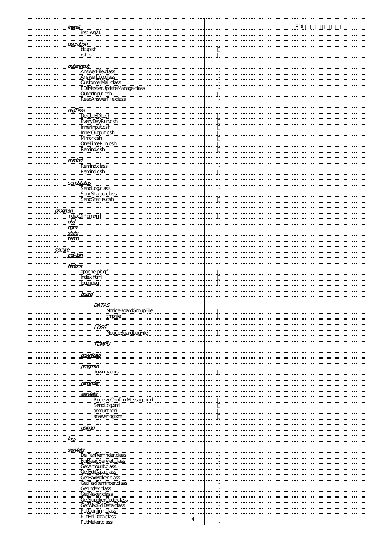| <u>install</u><br>inst_wg71                        |        | EDI |
|----------------------------------------------------|--------|-----|
|                                                    |        |     |
| operation                                          |        |     |
| bkup.sh                                            |        |     |
| rstr.sh                                            |        |     |
| auterinaut<br>AnswerFile.class                     |        |     |
|                                                    |        |     |
| AnswerLoaclass<br>CustomerMail.class               |        |     |
| EDIMasterUpdateManage.class                        | $\sim$ |     |
| OuterInput.csh                                     |        |     |
| ReadAnswerFile.class                               |        |     |
| <u>regTime</u>                                     |        |     |
| DeleteEDI.csh                                      |        |     |
| EveryDayRuncsh                                     |        |     |
| <b>InnerInput.csh</b><br>InnerOutput.csh           |        |     |
| Mrror.csh                                          |        |     |
| OneTimeRuncsh                                      |        |     |
| Remind.csh                                         |        |     |
| <u>remind</u>                                      |        |     |
| Remind.class                                       |        |     |
| Remind.csh                                         |        |     |
| sendstatus                                         |        |     |
| SendLogclass<br>SendStatus.class                   |        |     |
|                                                    |        |     |
| SendStatus.csh                                     |        |     |
| <u>program</u>                                     |        |     |
| indexOfPgmxml                                      |        |     |
| <b>atd</b>                                         |        |     |
| $p_{\alpha}$<br>style                              |        |     |
| <u>temp</u>                                        |        |     |
|                                                    |        |     |
| <u>secure</u><br><u>od-bin</u>                     |        |     |
|                                                    |        |     |
| <b><i>htdocs</i></b><br>apache poolf<br>index.html |        |     |
|                                                    |        |     |
| logo.jpeg                                          |        |     |
|                                                    |        |     |
| <b>board</b>                                       |        |     |
| <b>DATAS</b>                                       |        |     |
| NoticeBoardGroupFile                               |        |     |
| tmpfile                                            |        |     |
| LOGS                                               |        |     |
| NoticeBoardLogFile                                 |        |     |
| <b>TENPU</b>                                       |        |     |
|                                                    |        |     |
| download                                           |        |     |
| .                                                  |        |     |
| <u>program</u><br>download.xsl                     |        |     |
|                                                    |        |     |
| <u>reminder</u>                                    |        |     |
| servlets                                           |        |     |
| ReceiveConfirmMessage.xm                           |        |     |
| SendLogxm                                          |        |     |
| amount.xml                                         |        |     |
| answerlog xml                                      |        |     |
| <br>uoload                                         |        |     |
|                                                    |        |     |
| <u>logs</u>                                        |        |     |
| ,,,,,,,,,,,,,,,,<br>servlets                       |        |     |
| DelFaxReminder.class                               |        |     |
| EdiBasicServlet.class<br>GetAmount.class           |        |     |
| GetEdiData.class                                   |        |     |
| GetFaxMaker.class                                  |        |     |
| GetFaxReminder.class<br>GetIndex.class             |        |     |
| GetMaker.class                                     |        |     |
| GetSupplierCode.class                              |        |     |
| GetWebEdiData.class                                |        |     |
| PutConfirmclass<br>PutEdiData.class                |        |     |
| PutMaker.class                                     |        |     |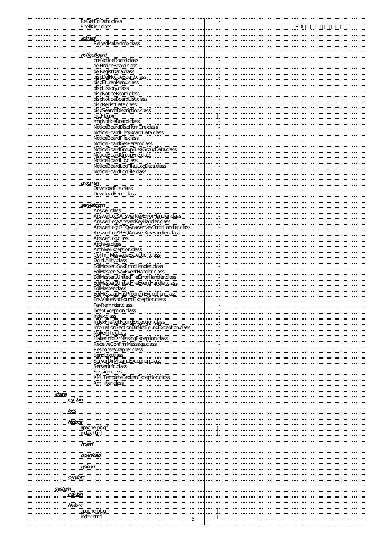| <b>ReGetEdiData.class</b><br><b>ShellKick.class</b>                                     |  | EDI |
|-----------------------------------------------------------------------------------------|--|-----|
|                                                                                         |  |     |
| admed<br>ReloadMakerInfo.class                                                          |  |     |
|                                                                                         |  |     |
| noticeBoard                                                                             |  |     |
| creNoticeBoard.class                                                                    |  |     |
| delRegistData.class<br>dispDelNoticeBoard.class                                         |  |     |
| dispEturanMenu.class                                                                    |  |     |
| dispHistory.class<br>dispNoticeBoard.class                                              |  |     |
| dispNoticeBoardList.class                                                               |  |     |
| dispRegistData.class<br>dispSearchDiscription class                                     |  |     |
| exeFlagxm                                                                               |  |     |
| mgNoticeBoard.class<br><u>III Muutepui utass</u><br>NoticeBoardDispHtmCre.class         |  |     |
| NoticeBoardFile\$BoardData.class                                                        |  |     |
| NoticeBoardFile.class                                                                   |  |     |
| <b>NoticeBoardGetParamclass</b><br><u>NouceboardGroupFile\$GroupData.class</u>          |  |     |
| NoticeBoardGroupFile.class                                                              |  |     |
| NoticeBoardLib.class<br>NoticeBoardLocFile\$LocData.class                               |  |     |
| NoticeBoardLogFile.class                                                                |  |     |
| <br>program                                                                             |  |     |
| DownloadFile.class                                                                      |  |     |
| <b>DownloadFormclass</b>                                                                |  |     |
| servletcom                                                                              |  |     |
| Answer.class                                                                            |  |     |
| ALDVEL UGS<br>AnsverLogSAnsverKeyErrorHandler.class<br>AnsverLogSAnsverKeyHandler.class |  |     |
| Answer LogSRFOAnswerkeyErrorHandler.class<br>AnswerLog\$RFQAnswerKeyHandler.class       |  |     |
| AnswerLogclass                                                                          |  |     |
| Archive.class                                                                           |  |     |
| ArchiveException.class<br>ConfirmVessageException.class                                 |  |     |
| DomUtility.class<br>EdiMaster\$SaxErrorHandler.class                                    |  |     |
| EdiMaster\$SaxEventHandler.class                                                        |  |     |
| EdiMaster\$UnitedFileErrorHandler.class<br>EdiMaster\$UnitedFileEventHandler.class      |  |     |
| EdiMaster.class                                                                         |  |     |
| Edilvaster.class<br>EdilvessageHasProbremException.class                                |  |     |
| EnvValueNotFoundException.class<br>FaxReminder.class                                    |  |     |
| <u> GrepLxception.class</u>                                                             |  |     |
| Index.class<br>IndexFileNotFoundException.class                                         |  |     |
| InformationSectionDirNotFoundException.class<br>MakerInfo.class                         |  |     |
| MakerInfoDirMssingException.class                                                       |  |     |
| ReceiveConfirmVessage.class<br>ResponseWrapper.class                                    |  |     |
| SendLogclass                                                                            |  |     |
| ServerDirMssingException.class<br>ServerInfo.class                                      |  |     |
| Session.class                                                                           |  |     |
| XMLTemplateBrokenException.clas<br>XmlFilter.class                                      |  |     |
|                                                                                         |  |     |
| snare<br>cg-bin                                                                         |  |     |
|                                                                                         |  |     |
| <u>logs</u>                                                                             |  |     |
| htabas.                                                                                 |  |     |
| apache_pb.gif<br>index.html                                                             |  |     |
| ngunungun                                                                               |  |     |
| board                                                                                   |  |     |
| <br><u>download</u>                                                                     |  |     |
| manganag<br>upload                                                                      |  |     |
|                                                                                         |  |     |
| servlets                                                                                |  |     |
| <u>system</u>                                                                           |  |     |
| <u>cal-bin</u>                                                                          |  |     |
| <b>htdocs</b>                                                                           |  |     |
| apache pb.gif<br>index.html                                                             |  |     |
|                                                                                         |  |     |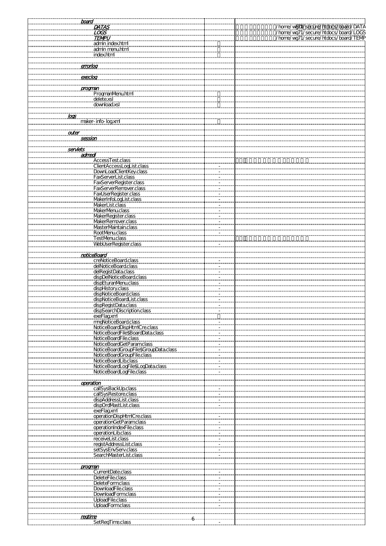| <u>board</u>                                  |             |                                                                                                                   |
|-----------------------------------------------|-------------|-------------------------------------------------------------------------------------------------------------------|
| <b>DATAS</b>                                  |             | /home/wED1/secure/htdocs/board/DATA<br>/home/wg71/secure/htdocs/board/LOGS<br>/home/wg71/secure/htdocs/board/TEMP |
| <b>LOGS</b>                                   |             |                                                                                                                   |
|                                               |             |                                                                                                                   |
| <b>TEMPU</b>                                  |             |                                                                                                                   |
| admin index.html                              |             |                                                                                                                   |
| admin menu.html                               |             |                                                                                                                   |
| index.html                                    |             |                                                                                                                   |
|                                               |             |                                                                                                                   |
| manganan<br><u>errorlog</u>                   |             |                                                                                                                   |
|                                               |             |                                                                                                                   |
|                                               |             |                                                                                                                   |
| execlog                                       |             |                                                                                                                   |
|                                               |             |                                                                                                                   |
| <u>program</u>                                |             |                                                                                                                   |
| ProgmanMenu.html                              |             |                                                                                                                   |
| delete.xsl                                    |             |                                                                                                                   |
| download.xsl                                  |             |                                                                                                                   |
|                                               |             |                                                                                                                   |
| loop                                          |             |                                                                                                                   |
| maker-info-logxml                             |             |                                                                                                                   |
|                                               |             |                                                                                                                   |
|                                               |             |                                                                                                                   |
| anter                                         |             |                                                                                                                   |
| session                                       |             |                                                                                                                   |
|                                               |             |                                                                                                                   |
| servlets                                      |             |                                                                                                                   |
| admodi                                        |             |                                                                                                                   |
| AccessTest.class<br>ClientAccessLogList.class |             |                                                                                                                   |
|                                               |             |                                                                                                                   |
| DownLoadClientKey.class                       |             |                                                                                                                   |
| FaxServerList.class                           |             |                                                                                                                   |
| FaxServerRegister.class                       | ÷.          |                                                                                                                   |
| FaxServerRemover.class                        |             |                                                                                                                   |
| FaxUserRegister.class                         | ÷.          |                                                                                                                   |
|                                               |             |                                                                                                                   |
| MakerInfoLogList.class                        |             |                                                                                                                   |
| MakerList.class                               |             |                                                                                                                   |
| MakerMenu.class                               |             |                                                                                                                   |
| MakerRegister.class                           |             |                                                                                                                   |
| MakerRemover.class                            |             |                                                                                                                   |
| <b>MasterMaintain.class</b>                   |             |                                                                                                                   |
| <b>RootMenuclass</b>                          |             |                                                                                                                   |
| <b>TestMenuclass</b>                          |             |                                                                                                                   |
| WebUserRegister.class                         |             |                                                                                                                   |
|                                               |             |                                                                                                                   |
|                                               |             |                                                                                                                   |
| noticeBoard                                   |             |                                                                                                                   |
| creNoticeBoard.class                          |             |                                                                                                                   |
| delNoticeBoard.class                          |             |                                                                                                                   |
| delRegistData.class                           |             |                                                                                                                   |
| dispDelNoticeBoard.class                      |             |                                                                                                                   |
| dispEturanMenu.class                          |             |                                                                                                                   |
| dispHistory.class                             |             |                                                                                                                   |
| dispNoticeBoard.class                         |             |                                                                                                                   |
| dispNoticeBoardList.class                     |             |                                                                                                                   |
| dispRegistData.class                          | <del></del> |                                                                                                                   |
|                                               |             |                                                                                                                   |
| dispSearchDiscription.class                   |             |                                                                                                                   |
| exeFlaqxml                                    |             |                                                                                                                   |
| mngNoticeBoard.class                          |             |                                                                                                                   |
| NoticeBoardDispHtmlCre.class                  |             |                                                                                                                   |
| NoticeBoardFile\$BoardData.class              |             |                                                                                                                   |
| NoticeBoardFile.class                         |             |                                                                                                                   |
| NoticeBoardGetParamclass                      |             |                                                                                                                   |
| NoticeBoardGroupFile\$GroupData.class         |             |                                                                                                                   |
| NoticeBoardGroupFile.class                    |             |                                                                                                                   |
| NoticeBoardLib.class                          |             |                                                                                                                   |
| NoticeBoardLogFile\$LogData.class             |             |                                                                                                                   |
| NoticeBoardLogFile.class                      |             |                                                                                                                   |
|                                               |             |                                                                                                                   |
|                                               |             |                                                                                                                   |
| operation                                     |             |                                                                                                                   |
| callSysBackUp.class                           |             |                                                                                                                   |
| callSysRestore.class                          |             |                                                                                                                   |
| dispAddressList.class                         |             |                                                                                                                   |
| dispOrdMastList.class                         |             |                                                                                                                   |
| exeFlaqxm                                     |             |                                                                                                                   |
| operationDispHtmlCre.class                    |             |                                                                                                                   |
| operationGetParamclass                        |             |                                                                                                                   |
| operationIndexFile.class                      |             |                                                                                                                   |
| operationLib.class                            |             |                                                                                                                   |
| receiveList.class                             |             |                                                                                                                   |
| registAddressList.class                       |             |                                                                                                                   |
| setSysEnvServ.class                           |             |                                                                                                                   |
| SearchMasterList.class                        |             |                                                                                                                   |
|                                               |             |                                                                                                                   |
|                                               |             |                                                                                                                   |
| <u>orogrnan</u>                               |             |                                                                                                                   |
| CurrentDate.class                             |             |                                                                                                                   |
| DeleteFile.class                              |             |                                                                                                                   |
| DeleteFormclass                               |             |                                                                                                                   |
| DownloadFile.class                            |             |                                                                                                                   |
| <b>DownloadFormclass</b>                      |             |                                                                                                                   |
| <b>UploadFile.class</b>                       |             |                                                                                                                   |
| <b>UploadFormclass</b>                        |             |                                                                                                                   |
|                                               |             |                                                                                                                   |
|                                               |             |                                                                                                                   |
| egume<br>SetRegTime.class                     |             |                                                                                                                   |
|                                               |             |                                                                                                                   |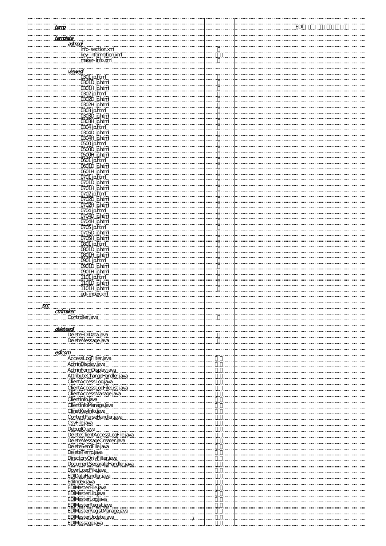| <u>temp</u>                    | EDI |
|--------------------------------|-----|
|                                |     |
| template                       |     |
| <u>admedi</u>                  |     |
| info-section.xml               |     |
|                                |     |
| key-information.xml            |     |
| maker-info.xml                 |     |
|                                |     |
| <u>viewedi</u>                 |     |
| 0301 jp.html                   |     |
|                                |     |
| 0301D_jp.html                  |     |
| 0301H_jp.html                  |     |
| 0302 jp.html                   |     |
| 0302D jp.html                  |     |
| 0302H_jp.html                  |     |
| 0303 jp.html                   |     |
|                                |     |
| 0303D jp.html                  |     |
| 0303H jp.html                  |     |
| 0304 jp.html                   |     |
| 0304D jp.html                  |     |
| 0304H_jp.html                  |     |
| <b>O500 jp.html</b>            |     |
|                                |     |
| <b>OGOD</b> jp.html            |     |
| <b>OGOH</b> jp.html            |     |
| 0601 jp.html                   |     |
| <b>OGOID</b> jp.html           |     |
| <b>OGOTH</b> jp.html           |     |
| 0701 jp.html                   |     |
|                                |     |
| 0701D jp.html                  |     |
| 0701H jp.html                  |     |
| 0702 jp.html                   |     |
| 0702D jp.html                  |     |
| 0702H jp.html                  |     |
|                                |     |
| 0704 jp.html                   |     |
| 0704D_jp.html                  |     |
| 0704H jp.html                  |     |
| 0705 jp.html                   |     |
| 0705D jp.html                  |     |
| 0705H_jp.html                  |     |
|                                |     |
| 0801 jp.html                   |     |
| <b>OBOID</b> jp.html           |     |
| <b>OBOTH jp.html</b>           |     |
| 0901 jp.html                   |     |
| 0901D_jp.html                  |     |
| 0901H_jp.html                  |     |
|                                |     |
| 1101 jp.html                   |     |
| 1101D jp.html                  |     |
| 1101H_jp.html                  |     |
| edi-index.xml                  |     |
|                                |     |
| <u>src</u>                     |     |
|                                |     |
| ctrimaker                      |     |
| Controller.java                |     |
|                                |     |
| deleteed                       |     |
| DeleteEDIData.java             |     |
|                                |     |
| DeleteMessage.java             |     |
|                                |     |
| edicam                         |     |
| "<br>AccessLodFilter.java      |     |
|                                |     |
| AdminDisplay.java              |     |
| AdminFormDisplay.java          |     |
| AttributeChangeHandler.java    |     |
| ClientAccessLogjava            |     |
| ClientAccessLogFileList.java   |     |
| ClientAccessManage.java        |     |
|                                |     |
| ClientInfo.java                |     |
| ClientInfolVanage.java         |     |
| ClinetKeyInfo.java             |     |
| ContentParseHandler.java       |     |
|                                |     |
| CsvFile.java                   |     |
| DebuglO.java                   |     |
| DeleteClientAccessLooFile.java |     |
| DeleteMessageCreater.java      |     |
| DeleteSendFile.java            |     |
|                                |     |
| DeleteTemp.java                |     |
| DirectoryOnlyFilter.java       |     |
| DocumentSeparateHandler.java   |     |
| DownLoadFile.java              |     |
| EDIDataHandler.java            |     |
|                                |     |
| Edilndex.java<br>              |     |
| EDIMasterFile.java             |     |
| EDIMasterLib.java              |     |
| EDIMasterLogjava               |     |
|                                |     |
| EDIMasterRegist.java           |     |
| EDIMasterRegistManage.java     |     |
| EDIMasterUpdate.java           |     |
| EDIMessage.java                |     |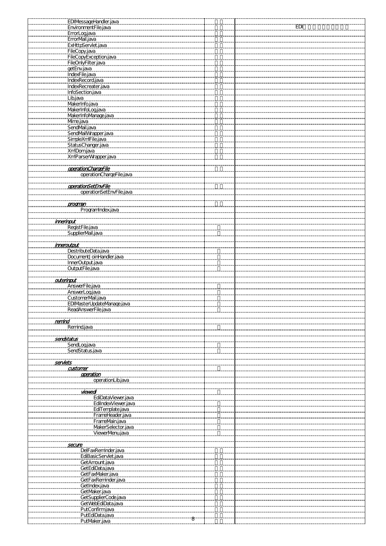|                   | EDIMessageHandler.java                         |            |
|-------------------|------------------------------------------------|------------|
|                   | EnvironmentFile.java                           | <u>edi</u> |
| ErrorLogjava      |                                                |            |
| ErrorMail.java    |                                                |            |
|                   |                                                |            |
|                   | ExHttpServlet.java                             |            |
| FileCopy.java     | <u>FileCopy.java</u><br>FileCopyException.java |            |
|                   |                                                |            |
|                   | FileOnlyFilter.java                            |            |
| getEnv.java       |                                                |            |
| IndexFile.java    |                                                |            |
|                   | IndexRecord.java                               |            |
|                   | IndexRecreater.java                            |            |
|                   | InfoSection.java                               |            |
| Lib.java          |                                                |            |
| MakerInfo.java    |                                                |            |
|                   |                                                |            |
|                   | MakerInfoLogjava                               |            |
|                   | MakerInfolVanage.java                          |            |
| Mme.java          |                                                |            |
| SendMail.java     |                                                |            |
|                   | SendMailWrapper.java                           |            |
|                   | SimpleXmlFile.java                             |            |
|                   | StatusChanger.java                             |            |
|                   | XmDomjava<br>XmParserWapper.java               |            |
|                   |                                                |            |
|                   |                                                |            |
|                   | goerationChargeFile                            |            |
|                   | operationChargeFile.java                       |            |
|                   |                                                |            |
|                   | operationSetEnvFile                            |            |
|                   | operationSetEnvFile.java                       |            |
|                   |                                                |            |
| ,,,,,,,,,,,,,,,,, |                                                |            |
| <u>prognan</u>    |                                                |            |
|                   | Programindex.java                              |            |
|                   |                                                |            |
| <u>imerinout</u>  |                                                |            |
| RegistFile.java   |                                                |            |
|                   | SupplierMail.java                              |            |
|                   |                                                |            |
| <u>imeroutput</u> |                                                |            |
|                   | DestributeData.java                            |            |
|                   | DocumentJoinHandler.java                       |            |
|                   | InnerOutput.java                               |            |
|                   | OutputFile.java                                |            |
|                   |                                                |            |
| outerinput        |                                                |            |
|                   | AnswerFile.java                                |            |
|                   | AnswerLogjava                                  |            |
|                   | CustomerMail.java                              |            |
|                   | EDIMasterUpdateManage.java                     |            |
|                   | <u>ReadAnswerFile.java</u>                     |            |
|                   |                                                |            |
| remind            |                                                |            |
| Remind.java       |                                                |            |
|                   |                                                |            |
|                   |                                                |            |
| sendstatus        |                                                |            |
| SendLogjava       |                                                |            |
|                   | SendStatus.java                                |            |
|                   |                                                |            |
| serviets          |                                                |            |
| <u>astoner</u>    |                                                |            |
|                   | goeration                                      |            |
|                   | operationLib.java                              |            |
|                   |                                                |            |
|                   | <u>viewedi</u>                                 |            |
|                   | EdiDataViewer.java                             |            |
|                   | EdilndexViewer.java                            |            |
|                   | EdiTemplate.java                               |            |
|                   | FrameHeader.java                               |            |
|                   | FrameMain.java                                 |            |
|                   | MakerSelector.java                             |            |
|                   | ViewerMenujava                                 |            |
|                   |                                                |            |
| secure            |                                                |            |
|                   | DelFaxReminder.java                            |            |
|                   | EdiBasicServlet.java                           |            |
|                   | GetAmount.java                                 |            |
|                   | GetEdiData.java                                |            |
|                   | GetFaxMaker.java                               |            |
|                   | GetFaxReminder.java                            |            |
|                   | GetIndex.java                                  |            |
|                   | GetMaker.java                                  |            |
|                   | GetSupplierCode.java                           |            |
|                   | GetWebEdiData.java                             |            |
|                   | PutConfirmjava                                 |            |
|                   | PutEdiData.java                                |            |
|                   | PutMaker.java                                  |            |
|                   |                                                |            |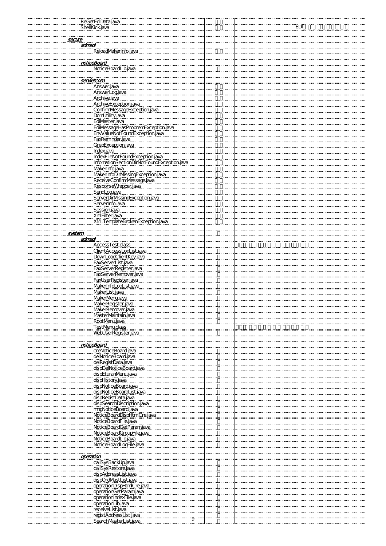|                | ReGetEdiData.java                                                                            |            |
|----------------|----------------------------------------------------------------------------------------------|------------|
|                | <b>ShellKickjava</b>                                                                         | <b>EDI</b> |
|                |                                                                                              |            |
|                |                                                                                              |            |
| secure         |                                                                                              |            |
|                |                                                                                              |            |
|                | admed<br>ReloadMakerInfo.java                                                                |            |
|                |                                                                                              |            |
|                |                                                                                              |            |
|                |                                                                                              |            |
|                | noticeBoard                                                                                  |            |
|                | NoticeBoardLib.java                                                                          |            |
|                |                                                                                              |            |
|                |                                                                                              |            |
|                | servletcom                                                                                   |            |
|                |                                                                                              |            |
|                | Answer.java                                                                                  |            |
|                | AnswerLogjava                                                                                |            |
|                |                                                                                              |            |
|                | Archive.java                                                                                 |            |
|                | ArchiveException.java                                                                        |            |
|                | ConfirmMessageException.java                                                                 |            |
|                |                                                                                              |            |
|                | DomUtility.java                                                                              |            |
|                | EdiVaster java<br>EdiVessageHasProbremException java                                         |            |
|                |                                                                                              |            |
|                |                                                                                              |            |
|                | EnvValueNotFoundException.java                                                               |            |
|                | FaxReminder.java                                                                             |            |
|                |                                                                                              |            |
|                | GrepException.java                                                                           |            |
|                | Index.java                                                                                   |            |
|                |                                                                                              |            |
|                | Index.iava<br>IndexFileNotFoundException.iava<br>InformationSectionDirNotFoundException.java |            |
|                |                                                                                              |            |
|                |                                                                                              |            |
|                | MakerInfo.java<br>MakerInfoDirMssingException.java                                           |            |
|                |                                                                                              |            |
|                | ReceiveConfirmVessage.java                                                                   |            |
|                |                                                                                              |            |
|                | ResponseWrapper.java                                                                         |            |
|                | SendLogjava                                                                                  |            |
|                | SendLogjava<br>ServerDirMssingException.java                                                 |            |
|                |                                                                                              |            |
|                | ServerInfo.java                                                                              |            |
|                | Session.java                                                                                 |            |
|                |                                                                                              |            |
|                | XmFilter.java                                                                                |            |
|                | XMLTemplateBrokenException.java                                                              |            |
|                |                                                                                              |            |
|                |                                                                                              |            |
| <u>system </u> |                                                                                              |            |
|                |                                                                                              |            |
|                | admed<br>AccessTest.class                                                                    |            |
|                |                                                                                              |            |
|                | ClientAccessLogList.java                                                                     |            |
|                |                                                                                              |            |
|                | DownLoadClientKey.java                                                                       |            |
|                | FaxServerList.java                                                                           |            |
|                |                                                                                              |            |
|                | FaxServerRegister.java                                                                       |            |
|                | FaxServerRemover.java                                                                        |            |
|                | FaxUserRegister.java                                                                         |            |
|                |                                                                                              |            |
|                | MakerInfoLogList.java                                                                        |            |
|                | MakerList.java                                                                               |            |
|                |                                                                                              |            |
|                | MakerMenujava                                                                                |            |
|                | MakerRegister.java                                                                           |            |
|                | MakerRemover.java                                                                            |            |
|                |                                                                                              |            |
|                | MasterMaintain.java                                                                          |            |
|                | RootMenujava                                                                                 |            |
|                |                                                                                              |            |
|                | <b>TestMenuclass</b>                                                                         |            |
|                | WebUserRegister.java                                                                         |            |
|                |                                                                                              |            |
|                |                                                                                              |            |
|                | noticeBoard                                                                                  |            |
|                | creNoticeBoard.java                                                                          |            |
|                |                                                                                              |            |
|                | delNoticeBoard.java                                                                          |            |
|                | delRegistData.java                                                                           |            |
|                | dispDelNoticeBoard.java                                                                      |            |
|                |                                                                                              |            |
|                | dispEturanMenu.java                                                                          |            |
|                | dispHistory.java                                                                             |            |
|                |                                                                                              |            |
|                | dispNoticeBoard.java                                                                         |            |
|                | dispNoticeBoardList.java                                                                     |            |
|                | dispRecistData.java                                                                          |            |
|                |                                                                                              |            |
|                | dispSearchDiscription.java                                                                   |            |
|                | mgNoticeBoard.java                                                                           |            |
|                | NoticeBoardDispHtmCre.java                                                                   |            |
|                |                                                                                              |            |
|                | NoticeBoardFile.java                                                                         |            |
|                | NoticeBoardGetParamjava                                                                      |            |
|                |                                                                                              |            |
|                | NoticeBoardGroupFile.java                                                                    |            |
|                | NoticeBoardLib.java                                                                          |            |
|                | NoticeBoardLogFile.java                                                                      |            |
|                |                                                                                              |            |
|                |                                                                                              |            |
| operation      |                                                                                              |            |
|                |                                                                                              |            |
|                | callSysBackUp.java                                                                           |            |
|                | callSysRestore.java                                                                          |            |
|                | dispAddressList.java                                                                         |            |
|                |                                                                                              |            |
|                | dispOrdMastList.java                                                                         |            |
|                | operationDispHtmlCre.java                                                                    |            |
|                |                                                                                              |            |
|                | operationGetParamjava                                                                        |            |
|                | operationIndexFile.java                                                                      |            |
|                | operationLib.java                                                                            |            |
|                |                                                                                              |            |
|                | receiveList.java                                                                             |            |
|                | registAddressList.java                                                                       |            |
|                | SearchMasterList.java                                                                        |            |
|                |                                                                                              |            |